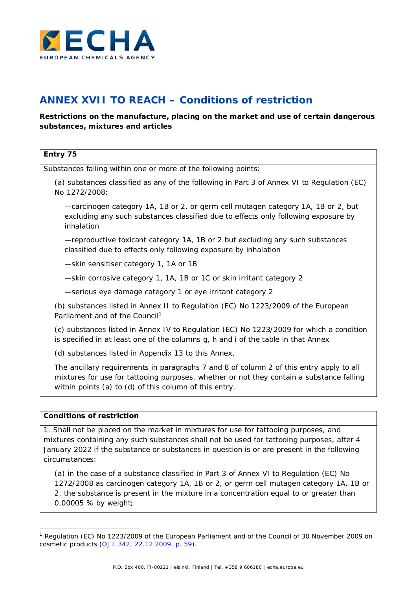

## **ANNEX XVII TO REACH – Conditions of restriction**

## **Restrictions on the manufacture, placing on the market and use of certain dangerous substances, mixtures and articles**

| Entry 75                                                                                                                                                                                                                                      |
|-----------------------------------------------------------------------------------------------------------------------------------------------------------------------------------------------------------------------------------------------|
| Substances falling within one or more of the following points:                                                                                                                                                                                |
| (a) substances classified as any of the following in Part 3 of Annex VI to Regulation (EC)<br>No 1272/2008:                                                                                                                                   |
| -carcinogen category 1A, 1B or 2, or germ cell mutagen category 1A, 1B or 2, but<br>excluding any such substances classified due to effects only following exposure by<br>inhalation                                                          |
| -reproductive toxicant category 1A, 1B or 2 but excluding any such substances<br>classified due to effects only following exposure by inhalation                                                                                              |
| -skin sensitiser category 1, 1A or 1B                                                                                                                                                                                                         |
| -skin corrosive category 1, 1A, 1B or 1C or skin irritant category 2                                                                                                                                                                          |
| -serious eye damage category 1 or eye irritant category 2                                                                                                                                                                                     |
| (b) substances listed in Annex II to Regulation (EC) No 1223/2009 of the European<br>Parliament and of the Council <sup>1</sup>                                                                                                               |
| (c) substances listed in Annex IV to Regulation (EC) No 1223/2009 for which a condition<br>is specified in at least one of the columns g, h and i of the table in that Annex                                                                  |
| (d) substances listed in Appendix 13 to this Annex.                                                                                                                                                                                           |
| The ancillary requirements in paragraphs 7 and 8 of column 2 of this entry apply to all<br>mixtures for use for tattooing purposes, whether or not they contain a substance falling<br>within points (a) to (d) of this column of this entry. |
| <b>Conditions of restriction</b>                                                                                                                                                                                                              |
| 1. Shall not be placed on the market in mixtures for use for tattooing purposes, and                                                                                                                                                          |

<span id="page-0-1"></span>1. Shall not be placed on the market in mixtures for use for tattooing purposes, and mixtures containing any such substances shall not be used for tattooing purposes, after 4 January 2022 if the substance or substances in question is or are present in the following circumstances:

(a) in the case of a substance classified in Part 3 of Annex VI to Regulation (EC) No 1272/2008 as carcinogen category 1A, 1B or 2, or germ cell mutagen category 1A, 1B or 2, the substance is present in the mixture in a concentration equal to or greater than 0,00005 % by weight;

<span id="page-0-0"></span><sup>&</sup>lt;sup>1</sup> Regulation (EC) No 1223/2009 of the European Parliament and of the Council of 30 November 2009 on cosmetic products [\(OJ L 342, 22.12.2009, p. 59\)](https://eur-lex.europa.eu/legal-content/EN/AUTO/?uri=OJ:L:2009:342:TOC).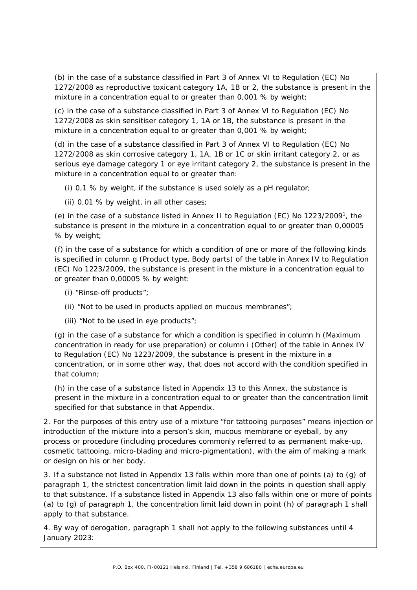(b) in the case of a substance classified in Part 3 of Annex VI to Regulation (EC) No 1272/2008 as reproductive toxicant category 1A, 1B or 2, the substance is present in the mixture in a concentration equal to or greater than 0,001 % by weight;

(c) in the case of a substance classified in Part 3 of Annex VI to Regulation (EC) No 1272/2008 as skin sensitiser category 1, 1A or 1B, the substance is present in the mixture in a concentration equal to or greater than 0,001 % by weight;

(d) in the case of a substance classified in Part 3 of Annex VI to Regulation (EC) No 1272/2008 as skin corrosive category 1, 1A, 1B or 1C or skin irritant category 2, or as serious eye damage category 1 or eye irritant category 2, the substance is present in the mixture in a concentration equal to or greater than:

(i) 0,1 % by weight, if the substance is used solely as a pH regulator;

(ii) 0,01 % by weight, in all other cases;

(e) in the case of a substance listed in Annex II to Regulation (EC) No 1223/200[91,](#page-0-1) the substance is present in the mixture in a concentration equal to or greater than 0,00005 % by weight;

(f) in the case of a substance for which a condition of one or more of the following kinds is specified in column g (Product type, Body parts) of the table in Annex IV to Regulation (EC) No 1223/2009, the substance is present in the mixture in a concentration equal to or greater than 0,00005 % by weight:

(i) "Rinse-off products";

(ii) "Not to be used in products applied on mucous membranes";

(iii) "Not to be used in eye products";

(g) in the case of a substance for which a condition is specified in column h (Maximum concentration in ready for use preparation) or column i (Other) of the table in Annex IV to Regulation (EC) No 1223/2009, the substance is present in the mixture in a concentration, or in some other way, that does not accord with the condition specified in that column;

(h) in the case of a substance listed in Appendix 13 to this Annex, the substance is present in the mixture in a concentration equal to or greater than the concentration limit specified for that substance in that Appendix.

2. For the purposes of this entry use of a mixture "for tattooing purposes" means injection or introduction of the mixture into a person's skin, mucous membrane or eyeball, by any process or procedure (including procedures commonly referred to as permanent make-up, cosmetic tattooing, micro-blading and micro-pigmentation), with the aim of making a mark or design on his or her body.

3. If a substance not listed in Appendix 13 falls within more than one of points (a) to (g) of paragraph 1, the strictest concentration limit laid down in the points in question shall apply to that substance. If a substance listed in Appendix 13 also falls within one or more of points (a) to (g) of paragraph 1, the concentration limit laid down in point (h) of paragraph 1 shall apply to that substance.

4. By way of derogation, paragraph 1 shall not apply to the following substances until 4 January 2023: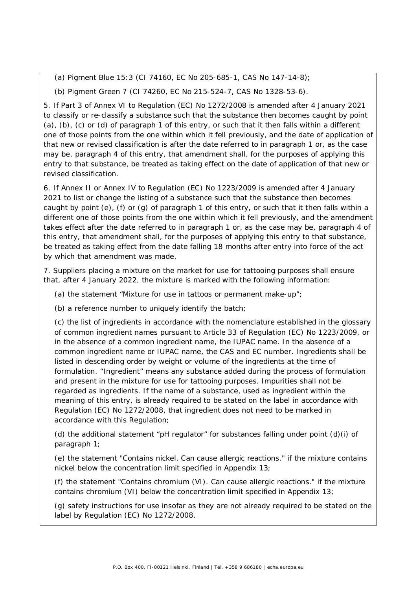(a) Pigment Blue 15:3 (CI 74160, EC No 205-685-1, CAS No 147-14-8);

(b) Pigment Green 7 (CI 74260, EC No 215-524-7, CAS No 1328-53-6).

5. If Part 3 of Annex VI to Regulation (EC) No 1272/2008 is amended after 4 January 2021 to classify or re-classify a substance such that the substance then becomes caught by point (a), (b), (c) or (d) of paragraph 1 of this entry, or such that it then falls within a different one of those points from the one within which it fell previously, and the date of application of that new or revised classification is after the date referred to in paragraph 1 or, as the case may be, paragraph 4 of this entry, that amendment shall, for the purposes of applying this entry to that substance, be treated as taking effect on the date of application of that new or revised classification.

6. If Annex II or Annex IV to Regulation (EC) No 1223/2009 is amended after 4 January 2021 to list or change the listing of a substance such that the substance then becomes caught by point (e), (f) or (g) of paragraph 1 of this entry, or such that it then falls within a different one of those points from the one within which it fell previously, and the amendment takes effect after the date referred to in paragraph 1 or, as the case may be, paragraph 4 of this entry, that amendment shall, for the purposes of applying this entry to that substance, be treated as taking effect from the date falling 18 months after entry into force of the act by which that amendment was made.

7. Suppliers placing a mixture on the market for use for tattooing purposes shall ensure that, after 4 January 2022, the mixture is marked with the following information:

(a) the statement "Mixture for use in tattoos or permanent make-up";

(b) a reference number to uniquely identify the batch;

(c) the list of ingredients in accordance with the nomenclature established in the glossary of common ingredient names pursuant to Article 33 of Regulation (EC) No 1223/2009, or in the absence of a common ingredient name, the IUPAC name. In the absence of a common ingredient name or IUPAC name, the CAS and EC number. Ingredients shall be listed in descending order by weight or volume of the ingredients at the time of formulation. "Ingredient" means any substance added during the process of formulation and present in the mixture for use for tattooing purposes. Impurities shall not be regarded as ingredients. If the name of a substance, used as ingredient within the meaning of this entry, is already required to be stated on the label in accordance with Regulation (EC) No 1272/2008, that ingredient does not need to be marked in accordance with this Regulation;

(d) the additional statement "pH regulator" for substances falling under point (d)(i) of paragraph 1;

(e) the statement "Contains nickel. Can cause allergic reactions." if the mixture contains nickel below the concentration limit specified in Appendix 13;

(f) the statement "Contains chromium (VI). Can cause allergic reactions." if the mixture contains chromium (VI) below the concentration limit specified in Appendix 13;

(g) safety instructions for use insofar as they are not already required to be stated on the label by Regulation (EC) No 1272/2008.